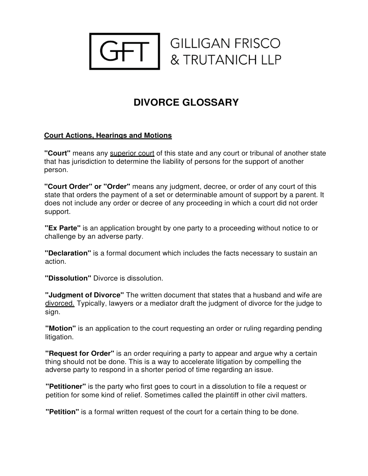

# **DIVORCE GLOSSARY**

# **Court Actions, Hearings and Motions**

**"Court"** means any superior court of this state and any court or tribunal of another state that has jurisdiction to determine the liability of persons for the support of another person.

**"Court Order" or "Order''** means any judgment, decree, or order of any court of this state that orders the payment of a set or determinable amount of support by a parent. It does not include any order or decree of any proceeding in which a court did not order support.

**"Ex Parte"** is an application brought by one party to a proceeding without notice to or challenge by an adverse party.

**"Declaration"** is a formal document which includes the facts necessary to sustain an action.

**"Dissolution"** Divorce is dissolution.

**"Judgment of Divorce"** The written document that states that a husband and wife are divorced. Typically, lawyers or a mediator draft the judgment of divorce for the judge to sign.

**"Motion"** is an application to the court requesting an order or ruling regarding pending litigation.

**"Request for Order"** is an order requiring a party to appear and argue why a certain thing should not be done. This is a way to accelerate litigation by compelling the adverse party to respond in a shorter period of time regarding an issue.

**"Petitioner"** is the party who first goes to court in a dissolution to file a request or petition for some kind of relief. Sometimes called the plaintiff in other civil matters.

**"Petition"** is a formal written request of the court for a certain thing to be done.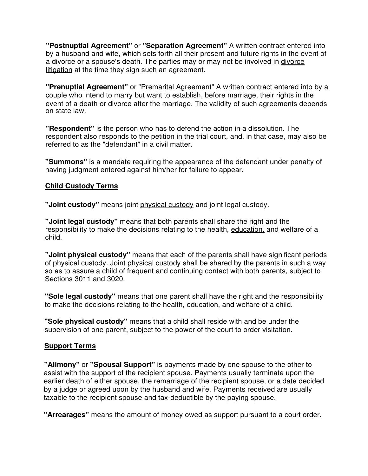**"Postnuptial Agreement"** or **"Separation Agreement"** A written contract entered into by a husband and wife, which sets forth all their present and future rights in the event of a divorce or a spouse's death. The parties may or may not be involved in divorce litigation at the time they sign such an agreement.

**"Prenuptial Agreement"** or "Premarital Agreement" A written contract entered into by a couple who intend to marry but want to establish, before marriage, their rights in the event of a death or divorce after the marriage. The validity of such agreements depends on state law.

**"Respondent"** is the person who has to defend the action in a dissolution. The respondent also responds to the petition in the trial court, and, in that case, may also be referred to as the "defendant" in a civil matter.

**"Summons"** is a mandate requiring the appearance of the defendant under penalty of having judgment entered against him/her for failure to appear.

#### **Child Custody Terms**

**"Joint custody"** means joint physical custody and joint legal custody.

**"Joint legal custody"** means that both parents shall share the right and the responsibility to make the decisions relating to the health, education, and welfare of a child.

**"Joint physical custody"** means that each of the parents shall have significant periods of physical custody. Joint physical custody shall be shared by the parents in such a way so as to assure a child of frequent and continuing contact with both parents, subject to Sections 3011 and 3020.

**"Sole legal custody"** means that one parent shall have the right and the responsibility to make the decisions relating to the health, education, and welfare of a child.

**"Sole physical custody"** means that a child shall reside with and be under the supervision of one parent, subject to the power of the court to order visitation.

### **Support Terms**

**"Alimony"** or **"Spousal Support"** is payments made by one spouse to the other to assist with the support of the recipient spouse. Payments usually terminate upon the earlier death of either spouse, the remarriage of the recipient spouse, or a date decided by a judge or agreed upon by the husband and wife. Payments received are usually taxable to the recipient spouse and tax-deductible by the paying spouse.

**"Arrearages"** means the amount of money owed as support pursuant to a court order.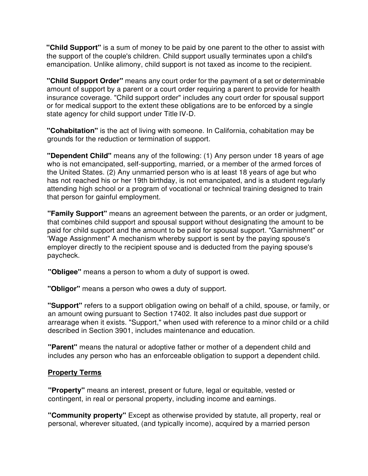**"Child Support"** is a sum of money to be paid by one parent to the other to assist with the support of the couple's children. Child support usually terminates upon a child's emancipation. Unlike alimony, child support is not taxed as income to the recipient.

**"Child Support Order"** means any court order for the payment of a set or determinable amount of support by a parent or a court order requiring a parent to provide for health insurance coverage. "Child support order" includes any court order for spousal support or for medical support to the extent these obligations are to be enforced by a single state agency for child support under Title IV-D.

**"Cohabitation"** is the act of living with someone. In California, cohabitation may be grounds for the reduction or termination of support.

**"Dependent Child"** means any of the following: (1) Any person under 18 years of age who is not emancipated, self-supporting, married, or a member of the armed forces of the United States. (2) Any unmarried person who is at least 18 years of age but who has not reached his or her 19th birthday, is not emancipated, and is a student regularly attending high school or a program of vocational or technical training designed to train that person for gainful employment.

**"Family Support"** means an agreement between the parents, or an order or judgment, that combines child support and spousal support without designating the amount to be paid for child support and the amount to be paid for spousal support. "Garnishment" or 'Wage Assignment" A mechanism whereby support is sent by the paying spouse's employer directly to the recipient spouse and is deducted from the paying spouse's paycheck.

**"Obligee"** means a person to whom a duty of support is owed.

**"Obligor"** means a person who owes a duty of support.

**"Support"** refers to a support obligation owing on behalf of a child, spouse, or family, or an amount owing pursuant to Section 17402. It also includes past due support or arrearage when it exists. "Support," when used with reference to a minor child or a child described in Section 3901, includes maintenance and education.

**"Parent"** means the natural or adoptive father or mother of a dependent child and includes any person who has an enforceable obligation to support a dependent child.

### **Property Terms**

**"Property"** means an interest, present or future, legal or equitable, vested or contingent, in real or personal property, including income and earnings.

**"Community property"** Except as otherwise provided by statute, all property, real or personal, wherever situated, (and typically income), acquired by a married person